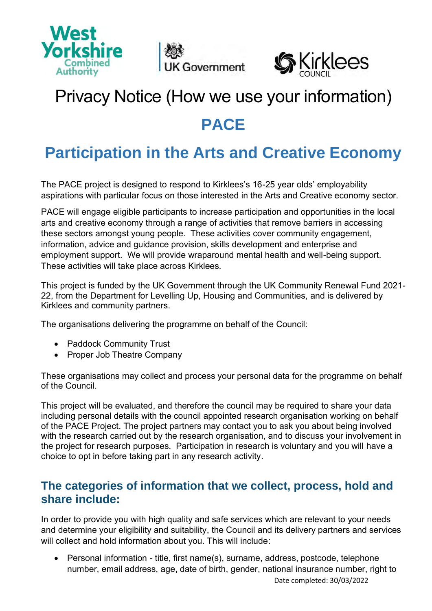





# Privacy Notice (How we use your information)

# **PACE**

# **Participation in the Arts and Creative Economy**

The PACE project is designed to respond to Kirklees's 16-25 year olds' employability aspirations with particular focus on those interested in the Arts and Creative economy sector.

PACE will engage eligible participants to increase participation and opportunities in the local arts and creative economy through a range of activities that remove barriers in accessing these sectors amongst young people. These activities cover community engagement, information, advice and guidance provision, skills development and enterprise and employment support. We will provide wraparound mental health and well-being support. These activities will take place across Kirklees.

This project is funded by the UK Government through the UK Community Renewal Fund 2021- 22, from the Department for Levelling Up, Housing and Communities, and is delivered by Kirklees and community partners.

The organisations delivering the programme on behalf of the Council:

- Paddock Community Trust
- Proper Job Theatre Company

These organisations may collect and process your personal data for the programme on behalf of the Council.

This project will be evaluated, and therefore the council may be required to share your data including personal details with the council appointed research organisation working on behalf of the PACE Project. The project partners may contact you to ask you about being involved with the research carried out by the research organisation, and to discuss your involvement in the project for research purposes. Participation in research is voluntary and you will have a choice to opt in before taking part in any research activity.

# **The categories of information that we collect, process, hold and share include:**

In order to provide you with high quality and safe services which are relevant to your needs and determine your eligibility and suitability, the Council and its delivery partners and services will collect and hold information about you. This will include:

• Personal information - title, first name(s), surname, address, postcode, telephone number, email address, age, date of birth, gender, national insurance number, right to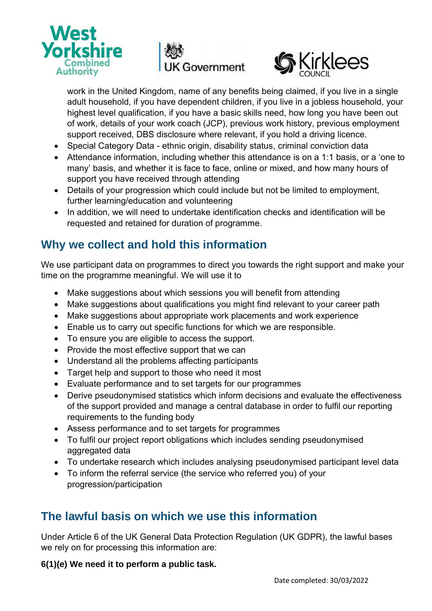





work in the United Kingdom, name of any benefits being claimed, if you live in a single adult household, if you have dependent children, if you live in a jobless household, your highest level qualification, if you have a basic skills need, how long you have been out of work, details of your work coach (JCP), previous work history, previous employment support received, DBS disclosure where relevant, if you hold a driving licence.

- Special Category Data ethnic origin, disability status, criminal conviction data
- Attendance information, including whether this attendance is on a 1:1 basis, or a 'one to many' basis, and whether it is face to face, online or mixed, and how many hours of support you have received through attending
- Details of your progression which could include but not be limited to employment, further learning/education and volunteering
- In addition, we will need to undertake identification checks and identification will be requested and retained for duration of programme.

# **Why we collect and hold this information**

We use participant data on programmes to direct you towards the right support and make your time on the programme meaningful. We will use it to

- Make suggestions about which sessions you will benefit from attending
- Make suggestions about qualifications you might find relevant to your career path
- Make suggestions about appropriate work placements and work experience
- Enable us to carry out specific functions for which we are responsible.
- To ensure you are eligible to access the support.
- Provide the most effective support that we can
- Understand all the problems affecting participants
- Target help and support to those who need it most
- Evaluate performance and to set targets for our programmes
- Derive pseudonymised statistics which inform decisions and evaluate the effectiveness of the support provided and manage a central database in order to fulfil our reporting requirements to the funding body
- Assess performance and to set targets for programmes
- To fulfil our project report obligations which includes sending pseudonymised aggregated data
- To undertake research which includes analysing pseudonymised participant level data
- To inform the referral service (the service who referred you) of your progression/participation

# **The lawful basis on which we use this information**

Under Article 6 of the UK General Data Protection Regulation (UK GDPR), the lawful bases we rely on for processing this information are:

#### **6(1)(e) We need it to perform a public task.**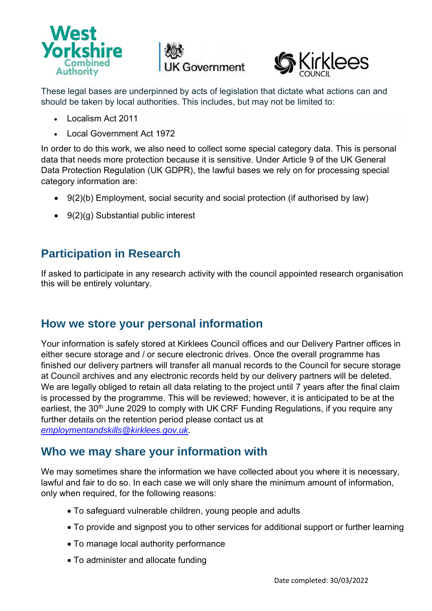





These legal bases are underpinned by acts of legislation that dictate what actions can and should be taken by local authorities. This includes, but may not be limited to:

- Localism Act 2011
- Local Government Act 1972

In order to do this work, we also need to collect some special category data. This is personal data that needs more protection because it is sensitive. Under Article 9 of the UK General Data Protection Regulation (UK GDPR), the lawful bases we rely on for processing special category information are:

- 9(2)(b) Employment, social security and social protection (if authorised by law)
- 9(2)(g) Substantial public interest

# **Participation in Research**

If asked to participate in any research activity with the council appointed research organisation this will be entirely voluntary.

# **How we store your personal information**

Your information is safely stored at Kirklees Council offices and our Delivery Partner offices in either secure storage and / or secure electronic drives. Once the overall programme has finished our delivery partners will transfer all manual records to the Council for secure storage at Council archives and any electronic records held by our delivery partners will be deleted. We are legally obliged to retain all data relating to the project until 7 years after the final claim is processed by the programme. This will be reviewed; however, it is anticipated to be at the earliest, the 30<sup>th</sup> June 2029 to comply with UK CRF Funding Regulations, if you require any further details on the retention period please contact us at *[employmentandskills@kirklees.gov.uk.](mailto:employmentandskills@kirklees.gov.uk)* 

# **Who we may share your information with**

We may sometimes share the information we have collected about you where it is necessary, lawful and fair to do so. In each case we will only share the minimum amount of information, only when required, for the following reasons:

- To safeguard vulnerable children, young people and adults
- To provide and signpost you to other services for additional support or further learning
- To manage local authority performance
- To administer and allocate funding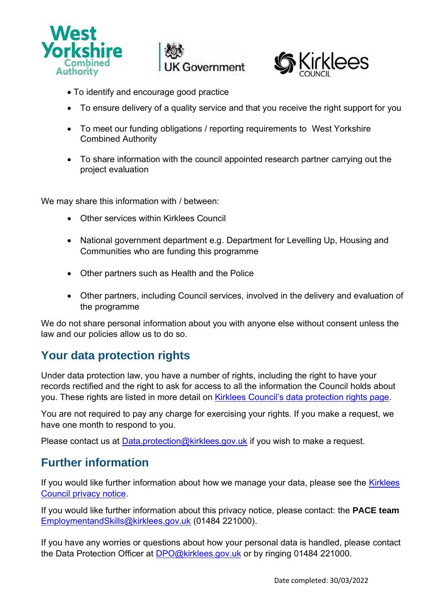





- To identify and encourage good practice
- To ensure delivery of a quality service and that you receive the right support for you
- To meet our funding obligations / reporting requirements to West Yorkshire Combined Authority
- To share information with the council appointed research partner carrying out the project evaluation

We may share this information with / between:

- Other services within Kirklees Council
- National government department e.g. Department for Levelling Up, Housing and Communities who are funding this programme
- Other partners such as Health and the Police
- Other partners, including Council services, involved in the delivery and evaluation of the programme

We do not share personal information about you with anyone else without consent unless the law and our policies allow us to do so.

# **Your data protection rights**

Under data protection law, you have a number of rights, including the right to have your records rectified and the right to ask for access to all the information the Council holds about you. These rights are listed in more detail on [Kirklees Council's data protection rights page.](https://www.kirklees.gov.uk/beta/information-and-data/general-data-protection-regulation.aspx)

You are not required to pay any charge for exercising your rights. If you make a request, we have one month to respond to you.

Please contact us at [Data.protection@kirklees.gov.uk](mailto:Data.protection@kirklees.gov.uk) if you wish to make a request.

# **Further information**

If you would like further information about how we manage your data, please see the Kirklees [Council privacy notice.](https://www.kirklees.gov.uk/beta/information-and-data/how-we-use-your-data.aspx)

If you would like further information about this privacy notice, please contact: the **PACE team**  [EmploymentandSkills@kirklees.gov.uk](mailto:EmploymentandSkills@kirklees.gov.uk) (01484 221000).

If you have any worries or questions about how your personal data is handled, please contact the Data Protection Officer at [DPO@kirklees.gov.uk](mailto:DPO@kirklees.gov.uk) or by ringing 01484 221000.